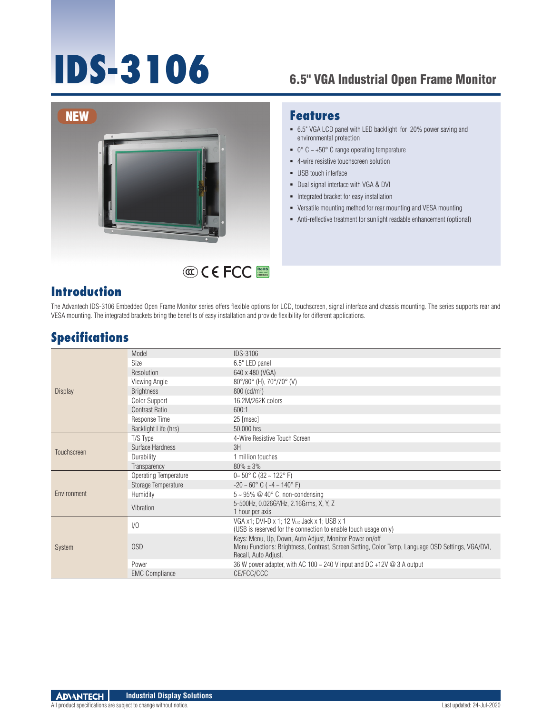# **IDS-3106** 6.5" VGA Industrial Open Frame Monitor



## RoHS **COMPLIANT 2002/95/EC**

#### **Introduction**

#### **Features**

- 6.5" VGA LCD panel with LED backlight for 20% power saving and environmental protection
- $\bullet$  0° C ~ +50° C range operating temperature
- 4-wire resistive touchscreen solution
- **USB** touch interface
- Dual signal interface with VGA & DVI
- **Integrated bracket for easy installation**
- Versatile mounting method for rear mounting and VESA mounting
- Anti-reflective treatment for sunlight readable enhancement (optional)

The Advantech IDS-3106 Embedded Open Frame Monitor series offers flexible options for LCD, touchscreen, signal interface and chassis mounting. The series supports rear and VESA mounting. The integrated brackets bring the benefits of easy installation and provide flexibility for different applications.

#### **Specifications**

| <b>Display</b> | Model                        | <b>IDS-3106</b>                                                                                                           |
|----------------|------------------------------|---------------------------------------------------------------------------------------------------------------------------|
|                | Size                         | 6.5" LED panel                                                                                                            |
|                | Resolution                   | 640 x 480 (VGA)                                                                                                           |
|                | Viewing Angle                | 80°/80° (H), 70°/70° (V)                                                                                                  |
|                | <b>Brightness</b>            | $800$ (cd/m <sup>2</sup> )                                                                                                |
|                | Color Support                | 16.2M/262K colors                                                                                                         |
|                | Contrast Ratio               | 600:1                                                                                                                     |
|                | Response Time                | 25 [msec]                                                                                                                 |
|                | Backlight Life (hrs)         | 50.000 hrs                                                                                                                |
|                | T/S Type                     | 4-Wire Resistive Touch Screen                                                                                             |
|                | Surface Hardness             | 3H                                                                                                                        |
| Touchscreen    | Durability                   | 1 million touches                                                                                                         |
|                | Transparency                 | $80\% + 3\%$                                                                                                              |
| Environment    | <b>Operating Temperature</b> | $0 - 50^{\circ}$ C (32 $\sim$ 122° F)                                                                                     |
|                | Storage Temperature          | $-20 \sim 60^{\circ}$ C ( $-4 \sim 140^{\circ}$ F)                                                                        |
|                | Humidity                     | $5 \sim 95\%$ @ 40° C, non-condensing                                                                                     |
|                | Vibration                    | 5-500Hz, 0.026G <sup>2</sup> /Hz, 2.16Grms, X, Y, Z                                                                       |
|                |                              | 1 hour per axis                                                                                                           |
| <b>System</b>  | 1/0                          | VGA x1; DVI-D x 1; 12 V <sub>pc</sub> Jack x 1; USB x 1                                                                   |
|                |                              | (USB is reserved for the connection to enable touch usage only)                                                           |
|                |                              | Keys: Menu, Up, Down, Auto Adjust, Monitor Power on/off                                                                   |
|                | 0SD                          | Menu Functions: Brightness, Contrast, Screen Setting, Color Temp, Language OSD Settings, VGA/DVI,<br>Recall, Auto Adjust. |
|                | Power                        | 36 W power adapter, with AC 100 $\sim$ 240 V input and DC +12V $\omega$ 3 A output                                        |
|                | <b>EMC Compliance</b>        | CE/FCC/CCC                                                                                                                |
|                |                              |                                                                                                                           |